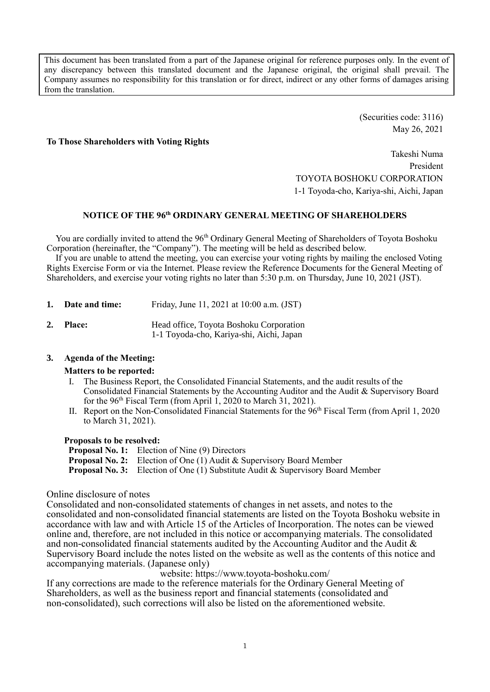This document has been translated from a part of the Japanese original for reference purposes only. In the event of any discrepancy between this translated document and the Japanese original, the original shall prevail. The Company assumes no responsibility for this translation or for direct, indirect or any other forms of damages arising from the translation.

> (Securities code: 3116) May 26, 2021

#### **To Those Shareholders with Voting Rights**

Takeshi Numa President TOYOTA BOSHOKU CORPORATION 1-1 Toyoda-cho, Kariya-shi, Aichi, Japan

### **NOTICE OF THE 96 th ORDINARY GENERAL MEETING OF SHAREHOLDERS**

You are cordially invited to attend the 96<sup>th</sup> Ordinary General Meeting of Shareholders of Toyota Boshoku Corporation (hereinafter, the "Company"). The meeting will be held as described below.

If you are unable to attend the meeting, you can exercise your voting rights by mailing the enclosed Voting Rights Exercise Form or via the Internet. Please review the Reference Documents for the General Meeting of Shareholders, and exercise your voting rights no later than 5:30 p.m. on Thursday, June 10, 2021 (JST).

|    | 1. Date and time: | Friday, June 11, 2021 at 10:00 a.m. (JST)                                           |
|----|-------------------|-------------------------------------------------------------------------------------|
| 2. | <b>Place:</b>     | Head office, Toyota Boshoku Corporation<br>1-1 Toyoda-cho, Kariya-shi, Aichi, Japan |

### **3. Agenda of the Meeting:**

#### **Matters to be reported:**

- I. The Business Report, the Consolidated Financial Statements, and the audit results of the Consolidated Financial Statements by the Accounting Auditor and the Audit & Supervisory Board for the 96<sup>th</sup> Fiscal Term (from April 1, 2020 to March 31, 2021).
- II. Report on the Non-Consolidated Financial Statements for the 96<sup>th</sup> Fiscal Term (from April 1, 2020 to March 31, 2021).

#### **Proposals to be resolved:**

**Proposal No. 1:** Election of Nine (9) Directors **Proposal No. 2:** Election of One (1) Audit & Supervisory Board Member **Proposal No. 3:** Election of One (1) Substitute Audit & Supervisory Board Member

#### Online disclosure of notes

Consolidated and non-consolidated statements of changes in net assets, and notes to the consolidated and non-consolidated financial statements are listed on the Toyota Boshoku website in accordance with law and with Article 15 of the Articles of Incorporation. The notes can be viewed online and, therefore, are not included in this notice or accompanying materials. The consolidated and non-consolidated financial statements audited by the Accounting Auditor and the Audit & Supervisory Board include the notes listed on the website as well as the contents of this notice and accompanying materials. (Japanese only)

website: https://www.toyota-boshoku.com/

If any corrections are made to the reference materials for the Ordinary General Meeting of Shareholders, as well as the business report and financial statements (consolidated and non-consolidated), such corrections will also be listed on the aforementioned website.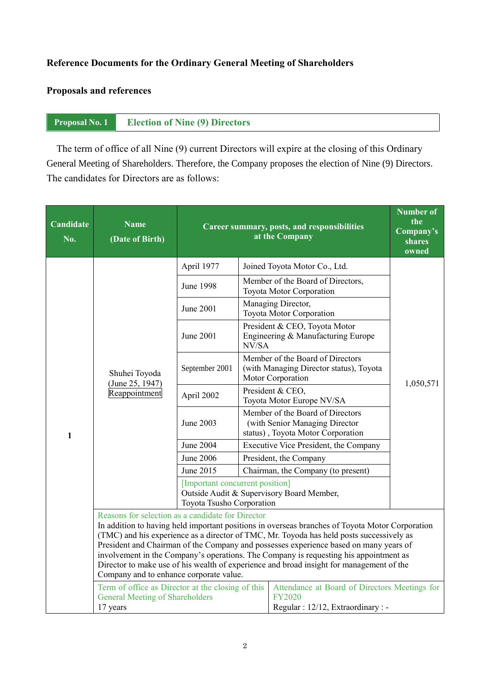### **Reference Documents for the Ordinary General Meeting of Shareholders**

## **Proposals and references**

### **Proposal No. 1 Election of Nine (9) Directors**

The term of office of all Nine (9) current Directors will expire at the closing of this Ordinary General Meeting of Shareholders. Therefore, the Company proposes the election of Nine (9) Directors. The candidates for Directors are as follows:

| Candidate<br>No.                                                                                                                                                                                                                                                                                                                                                                                                                                                                                                                                                          | <b>Name</b><br>(Date of Birth)                                                                          | Career summary, posts, and responsibilities                  | <b>Number of</b><br>the<br>Company's<br>shares<br>owned |                                                                                                         |           |  |
|---------------------------------------------------------------------------------------------------------------------------------------------------------------------------------------------------------------------------------------------------------------------------------------------------------------------------------------------------------------------------------------------------------------------------------------------------------------------------------------------------------------------------------------------------------------------------|---------------------------------------------------------------------------------------------------------|--------------------------------------------------------------|---------------------------------------------------------|---------------------------------------------------------------------------------------------------------|-----------|--|
|                                                                                                                                                                                                                                                                                                                                                                                                                                                                                                                                                                           |                                                                                                         | April 1977                                                   |                                                         | Joined Toyota Motor Co., Ltd.                                                                           |           |  |
|                                                                                                                                                                                                                                                                                                                                                                                                                                                                                                                                                                           |                                                                                                         | <b>June 1998</b>                                             |                                                         | Member of the Board of Directors,<br>Toyota Motor Corporation                                           |           |  |
|                                                                                                                                                                                                                                                                                                                                                                                                                                                                                                                                                                           |                                                                                                         | June 2001                                                    |                                                         | Managing Director,<br>Toyota Motor Corporation                                                          |           |  |
|                                                                                                                                                                                                                                                                                                                                                                                                                                                                                                                                                                           |                                                                                                         | <b>June 2001</b>                                             | NV/SA                                                   | President & CEO, Toyota Motor<br>Engineering & Manufacturing Europe                                     |           |  |
|                                                                                                                                                                                                                                                                                                                                                                                                                                                                                                                                                                           | Shuhei Toyoda<br>(June 25, 1947)<br>Reappointment                                                       | September 2001                                               |                                                         | Member of the Board of Directors<br>(with Managing Director status), Toyota<br>Motor Corporation        | 1,050,571 |  |
|                                                                                                                                                                                                                                                                                                                                                                                                                                                                                                                                                                           |                                                                                                         | April 2002                                                   |                                                         | President & CEO,<br>Toyota Motor Europe NV/SA                                                           |           |  |
| $\mathbf{1}$                                                                                                                                                                                                                                                                                                                                                                                                                                                                                                                                                              |                                                                                                         | June 2003                                                    |                                                         | Member of the Board of Directors<br>(with Senior Managing Director<br>status), Toyota Motor Corporation |           |  |
|                                                                                                                                                                                                                                                                                                                                                                                                                                                                                                                                                                           |                                                                                                         | <b>June 2004</b>                                             |                                                         | Executive Vice President, the Company                                                                   |           |  |
|                                                                                                                                                                                                                                                                                                                                                                                                                                                                                                                                                                           |                                                                                                         | <b>June 2006</b>                                             |                                                         | President, the Company                                                                                  |           |  |
|                                                                                                                                                                                                                                                                                                                                                                                                                                                                                                                                                                           |                                                                                                         | June 2015                                                    |                                                         | Chairman, the Company (to present)                                                                      |           |  |
|                                                                                                                                                                                                                                                                                                                                                                                                                                                                                                                                                                           |                                                                                                         | [Important concurrent position]<br>Toyota Tsusho Corporation |                                                         | Outside Audit & Supervisory Board Member,                                                               |           |  |
| Reasons for selection as a candidate for Director<br>In addition to having held important positions in overseas branches of Toyota Motor Corporation<br>(TMC) and his experience as a director of TMC, Mr. Toyoda has held posts successively as<br>President and Chairman of the Company and possesses experience based on many years of<br>involvement in the Company's operations. The Company is requesting his appointment as<br>Director to make use of his wealth of experience and broad insight for management of the<br>Company and to enhance corporate value. |                                                                                                         |                                                              |                                                         |                                                                                                         |           |  |
|                                                                                                                                                                                                                                                                                                                                                                                                                                                                                                                                                                           | Term of office as Director at the closing of this<br><b>General Meeting of Shareholders</b><br>17 years |                                                              |                                                         | Attendance at Board of Directors Meetings for<br><b>FY2020</b><br>Regular : 12/12, Extraordinary : -    |           |  |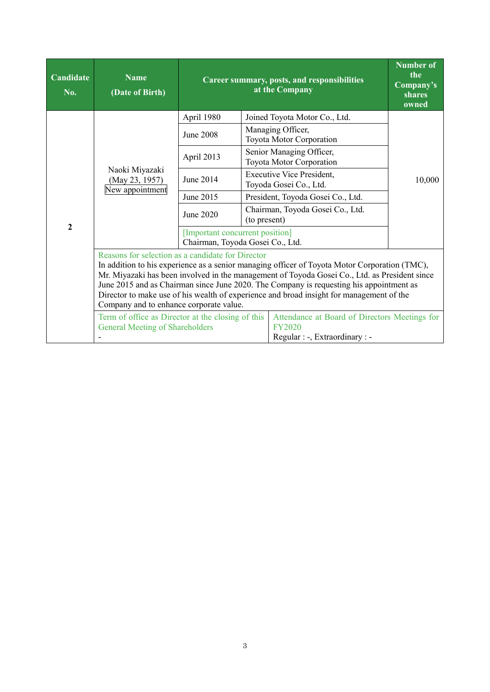| Candidate<br>No. | <b>Name</b><br>(Date of Birth)                                                                                                                                                                                                                                                                                                                                                                                                                                                                                                                                                      | Career summary, posts, and responsibilities                         | <b>Number of</b><br>the<br>Company's<br>shares<br>owned |                                                            |        |  |
|------------------|-------------------------------------------------------------------------------------------------------------------------------------------------------------------------------------------------------------------------------------------------------------------------------------------------------------------------------------------------------------------------------------------------------------------------------------------------------------------------------------------------------------------------------------------------------------------------------------|---------------------------------------------------------------------|---------------------------------------------------------|------------------------------------------------------------|--------|--|
|                  |                                                                                                                                                                                                                                                                                                                                                                                                                                                                                                                                                                                     | April 1980                                                          |                                                         | Joined Toyota Motor Co., Ltd.                              |        |  |
|                  |                                                                                                                                                                                                                                                                                                                                                                                                                                                                                                                                                                                     | June 2008                                                           |                                                         | Managing Officer,<br>Toyota Motor Corporation              |        |  |
|                  |                                                                                                                                                                                                                                                                                                                                                                                                                                                                                                                                                                                     | April 2013                                                          |                                                         | Senior Managing Officer,<br>Toyota Motor Corporation       |        |  |
|                  | Naoki Miyazaki<br>June 2014<br>(May 23, 1957)<br>New appointment<br>June 2015<br>June 2020<br>Reasons for selection as a candidate for Director<br>In addition to his experience as a senior managing officer of Toyota Motor Corporation (TMC),<br>Mr. Miyazaki has been involved in the management of Toyoda Gosei Co., Ltd. as President since<br>June 2015 and as Chairman since June 2020. The Company is requesting his appointment as<br>Director to make use of his wealth of experience and broad insight for management of the<br>Company and to enhance corporate value. |                                                                     |                                                         | <b>Executive Vice President,</b><br>Toyoda Gosei Co., Ltd. | 10,000 |  |
|                  |                                                                                                                                                                                                                                                                                                                                                                                                                                                                                                                                                                                     |                                                                     |                                                         | President, Toyoda Gosei Co., Ltd.                          |        |  |
|                  |                                                                                                                                                                                                                                                                                                                                                                                                                                                                                                                                                                                     |                                                                     | Chairman, Toyoda Gosei Co., Ltd.<br>(to present)        |                                                            |        |  |
| $\mathbf{2}$     |                                                                                                                                                                                                                                                                                                                                                                                                                                                                                                                                                                                     | [Important concurrent position]<br>Chairman, Toyoda Gosei Co., Ltd. |                                                         |                                                            |        |  |
|                  |                                                                                                                                                                                                                                                                                                                                                                                                                                                                                                                                                                                     |                                                                     |                                                         |                                                            |        |  |
|                  | Term of office as Director at the closing of this<br>Attendance at Board of Directors Meetings for<br><b>General Meeting of Shareholders</b><br><b>FY2020</b><br>Regular : -, Extraordinary : -                                                                                                                                                                                                                                                                                                                                                                                     |                                                                     |                                                         |                                                            |        |  |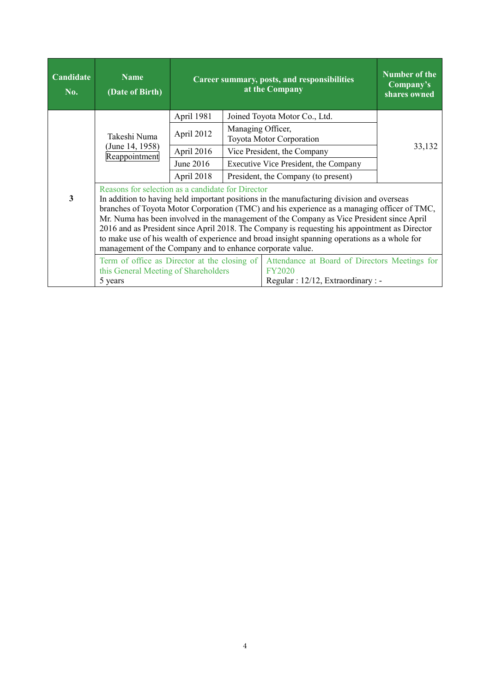| Candidate<br>No. | <b>Name</b><br>(Date of Birth)                                                                  |                                                                                                      | Career summary, posts, and responsibilities<br>at the Company                                                                                                                                                                                                                                                                                                                                                                                                                                                                                       | Number of the<br>Company's<br>shares owned |
|------------------|-------------------------------------------------------------------------------------------------|------------------------------------------------------------------------------------------------------|-----------------------------------------------------------------------------------------------------------------------------------------------------------------------------------------------------------------------------------------------------------------------------------------------------------------------------------------------------------------------------------------------------------------------------------------------------------------------------------------------------------------------------------------------------|--------------------------------------------|
|                  |                                                                                                 | April 1981                                                                                           | Joined Toyota Motor Co., Ltd.                                                                                                                                                                                                                                                                                                                                                                                                                                                                                                                       |                                            |
|                  | Takeshi Numa                                                                                    | April 2012                                                                                           | Managing Officer,<br>Toyota Motor Corporation                                                                                                                                                                                                                                                                                                                                                                                                                                                                                                       |                                            |
|                  | (June 14, 1958)<br>Reappointment                                                                | April 2016                                                                                           | Vice President, the Company                                                                                                                                                                                                                                                                                                                                                                                                                                                                                                                         | 33,132                                     |
|                  |                                                                                                 | June 2016                                                                                            | Executive Vice President, the Company                                                                                                                                                                                                                                                                                                                                                                                                                                                                                                               |                                            |
|                  |                                                                                                 | April 2018                                                                                           | President, the Company (to present)                                                                                                                                                                                                                                                                                                                                                                                                                                                                                                                 |                                            |
| $\mathbf{3}$     | Reasons for selection as a candidate for Director                                               |                                                                                                      | In addition to having held important positions in the manufacturing division and overseas<br>branches of Toyota Motor Corporation (TMC) and his experience as a managing officer of TMC,<br>Mr. Numa has been involved in the management of the Company as Vice President since April<br>2016 and as President since April 2018. The Company is requesting his appointment as Director<br>to make use of his wealth of experience and broad insight spanning operations as a whole for<br>management of the Company and to enhance corporate value. |                                            |
|                  | Term of office as Director at the closing of<br>this General Meeting of Shareholders<br>5 years | Attendance at Board of Directors Meetings for<br><b>FY2020</b><br>Regular : 12/12, Extraordinary : - |                                                                                                                                                                                                                                                                                                                                                                                                                                                                                                                                                     |                                            |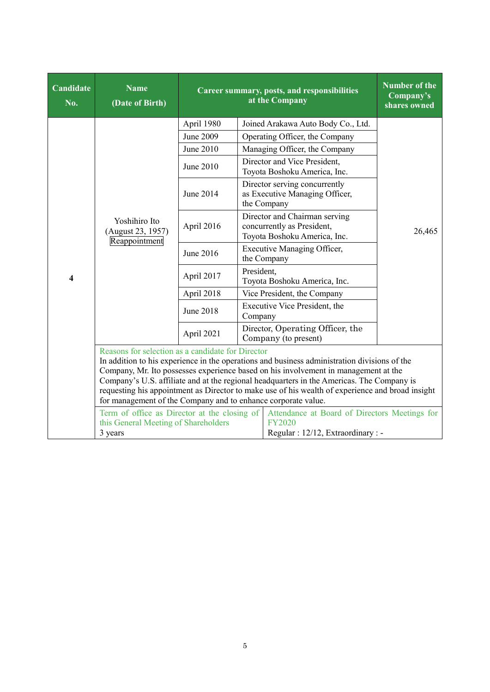| Candidate<br>No.        | <b>Name</b><br>(Date of Birth)                                                                                     | Career summary, posts, and responsibilities | Number of the<br>Company's<br>shares owned |                                                                                                                                                                                                                                                                                                                                                                                      |        |  |
|-------------------------|--------------------------------------------------------------------------------------------------------------------|---------------------------------------------|--------------------------------------------|--------------------------------------------------------------------------------------------------------------------------------------------------------------------------------------------------------------------------------------------------------------------------------------------------------------------------------------------------------------------------------------|--------|--|
|                         |                                                                                                                    | April 1980                                  |                                            | Joined Arakawa Auto Body Co., Ltd.                                                                                                                                                                                                                                                                                                                                                   |        |  |
|                         |                                                                                                                    | June 2009                                   |                                            | Operating Officer, the Company                                                                                                                                                                                                                                                                                                                                                       |        |  |
|                         |                                                                                                                    | June 2010                                   |                                            | Managing Officer, the Company                                                                                                                                                                                                                                                                                                                                                        |        |  |
|                         |                                                                                                                    | June 2010                                   |                                            | Director and Vice President,<br>Toyota Boshoku America, Inc.                                                                                                                                                                                                                                                                                                                         |        |  |
|                         |                                                                                                                    | June 2014                                   |                                            | Director serving concurrently<br>as Executive Managing Officer,<br>the Company                                                                                                                                                                                                                                                                                                       |        |  |
|                         | Yoshihiro Ito<br>(August 23, 1957)<br>Reappointment                                                                | April 2016                                  |                                            | Director and Chairman serving<br>concurrently as President,<br>Toyota Boshoku America, Inc.                                                                                                                                                                                                                                                                                          | 26,465 |  |
|                         |                                                                                                                    | June 2016                                   |                                            | <b>Executive Managing Officer,</b><br>the Company                                                                                                                                                                                                                                                                                                                                    |        |  |
| $\overline{\mathbf{4}}$ |                                                                                                                    | April 2017                                  | President.                                 | Toyota Boshoku America, Inc.                                                                                                                                                                                                                                                                                                                                                         |        |  |
|                         |                                                                                                                    | April 2018                                  |                                            | Vice President, the Company                                                                                                                                                                                                                                                                                                                                                          |        |  |
|                         |                                                                                                                    | June 2018                                   | Company                                    | Executive Vice President, the                                                                                                                                                                                                                                                                                                                                                        |        |  |
|                         |                                                                                                                    | April 2021                                  |                                            | Director, Operating Officer, the<br>Company (to present)                                                                                                                                                                                                                                                                                                                             |        |  |
|                         | Reasons for selection as a candidate for Director<br>for management of the Company and to enhance corporate value. |                                             |                                            | In addition to his experience in the operations and business administration divisions of the<br>Company, Mr. Ito possesses experience based on his involvement in management at the<br>Company's U.S. affiliate and at the regional headquarters in the Americas. The Company is<br>requesting his appointment as Director to make use of his wealth of experience and broad insight |        |  |
|                         | Term of office as Director at the closing of<br>this General Meeting of Shareholders<br>3 years                    |                                             |                                            | Attendance at Board of Directors Meetings for<br><b>FY2020</b><br>Regular : 12/12, Extraordinary : -                                                                                                                                                                                                                                                                                 |        |  |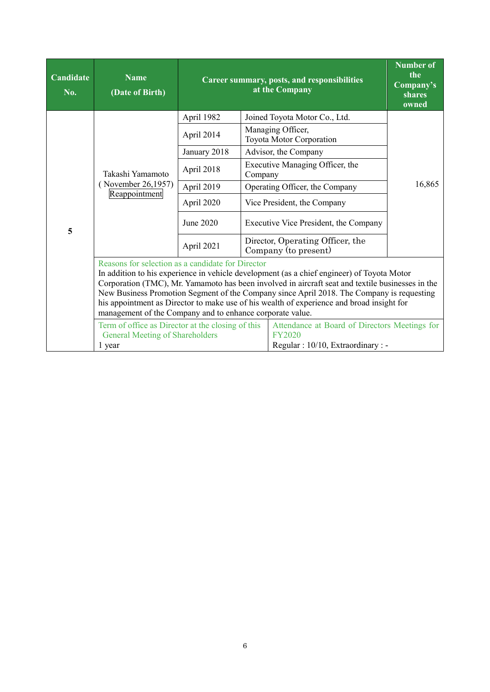| Candidate<br>No. | <b>Name</b><br>(Date of Birth)                                                    | Career summary, posts, and responsibilities | <b>Number of</b><br>the<br>Company's<br>shares<br>owned                                                                                                                                                                                                                                                                                                                                                                                       |                                       |        |
|------------------|-----------------------------------------------------------------------------------|---------------------------------------------|-----------------------------------------------------------------------------------------------------------------------------------------------------------------------------------------------------------------------------------------------------------------------------------------------------------------------------------------------------------------------------------------------------------------------------------------------|---------------------------------------|--------|
|                  |                                                                                   | April 1982                                  |                                                                                                                                                                                                                                                                                                                                                                                                                                               | Joined Toyota Motor Co., Ltd.         |        |
|                  |                                                                                   | April 2014                                  | Managing Officer,<br>Toyota Motor Corporation                                                                                                                                                                                                                                                                                                                                                                                                 |                                       |        |
|                  |                                                                                   | January 2018                                |                                                                                                                                                                                                                                                                                                                                                                                                                                               | Advisor, the Company                  |        |
|                  | Takashi Yamamoto                                                                  | April 2018                                  | Company                                                                                                                                                                                                                                                                                                                                                                                                                                       | Executive Managing Officer, the       |        |
|                  | (November 26,1957)<br>Reappointment                                               | April 2019                                  |                                                                                                                                                                                                                                                                                                                                                                                                                                               | Operating Officer, the Company        | 16,865 |
|                  |                                                                                   | April 2020                                  |                                                                                                                                                                                                                                                                                                                                                                                                                                               | Vice President, the Company           |        |
| 5                |                                                                                   | June 2020                                   |                                                                                                                                                                                                                                                                                                                                                                                                                                               | Executive Vice President, the Company |        |
|                  |                                                                                   | April 2021                                  | Director, Operating Officer, the<br>Company (to present)                                                                                                                                                                                                                                                                                                                                                                                      |                                       |        |
|                  | management of the Company and to enhance corporate value.                         |                                             | Reasons for selection as a candidate for Director<br>In addition to his experience in vehicle development (as a chief engineer) of Toyota Motor<br>Corporation (TMC), Mr. Yamamoto has been involved in aircraft seat and textile businesses in the<br>New Business Promotion Segment of the Company since April 2018. The Company is requesting<br>his appointment as Director to make use of his wealth of experience and broad insight for |                                       |        |
|                  | Attendance at Board of Directors Meetings for<br>Regular: 10/10, Extraordinary: - |                                             |                                                                                                                                                                                                                                                                                                                                                                                                                                               |                                       |        |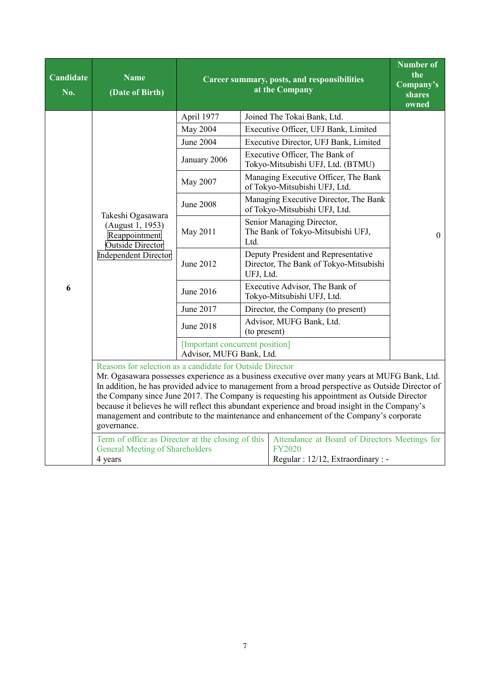| Candidate<br>No. | <b>Name</b><br>(Date of Birth)                                                                                   | Career summary, posts, and responsibilities                                                                                                                                                                                                                                                                                                                                                                                                                                                                                                                 | <b>Number of</b><br>the<br>Company's<br>shares |                                                                                                      |          |  |
|------------------|------------------------------------------------------------------------------------------------------------------|-------------------------------------------------------------------------------------------------------------------------------------------------------------------------------------------------------------------------------------------------------------------------------------------------------------------------------------------------------------------------------------------------------------------------------------------------------------------------------------------------------------------------------------------------------------|------------------------------------------------|------------------------------------------------------------------------------------------------------|----------|--|
|                  |                                                                                                                  |                                                                                                                                                                                                                                                                                                                                                                                                                                                                                                                                                             |                                                |                                                                                                      | owned    |  |
|                  |                                                                                                                  | April 1977                                                                                                                                                                                                                                                                                                                                                                                                                                                                                                                                                  |                                                | Joined The Tokai Bank, Ltd.                                                                          |          |  |
|                  |                                                                                                                  | <b>May 2004</b>                                                                                                                                                                                                                                                                                                                                                                                                                                                                                                                                             |                                                | Executive Officer, UFJ Bank, Limited                                                                 |          |  |
|                  |                                                                                                                  | June 2004                                                                                                                                                                                                                                                                                                                                                                                                                                                                                                                                                   |                                                | Executive Director, UFJ Bank, Limited                                                                |          |  |
|                  |                                                                                                                  | January 2006                                                                                                                                                                                                                                                                                                                                                                                                                                                                                                                                                |                                                | Executive Officer, The Bank of<br>Tokyo-Mitsubishi UFJ, Ltd. (BTMU)                                  |          |  |
|                  |                                                                                                                  | May 2007                                                                                                                                                                                                                                                                                                                                                                                                                                                                                                                                                    |                                                | Managing Executive Officer, The Bank<br>of Tokyo-Mitsubishi UFJ, Ltd.                                |          |  |
|                  |                                                                                                                  | <b>June 2008</b>                                                                                                                                                                                                                                                                                                                                                                                                                                                                                                                                            |                                                | Managing Executive Director, The Bank<br>of Tokyo-Mitsubishi UFJ, Ltd.                               |          |  |
|                  | Takeshi Ogasawara<br>(August 1, 1953)<br>Reappointment<br><b>Outside Director</b><br><b>Independent Director</b> | May 2011                                                                                                                                                                                                                                                                                                                                                                                                                                                                                                                                                    | Ltd.                                           | Senior Managing Director,<br>The Bank of Tokyo-Mitsubishi UFJ,                                       | $\theta$ |  |
|                  |                                                                                                                  | June 2012                                                                                                                                                                                                                                                                                                                                                                                                                                                                                                                                                   | UFJ, Ltd.                                      | Deputy President and Representative<br>Director, The Bank of Tokyo-Mitsubishi                        |          |  |
| 6                |                                                                                                                  | June 2016                                                                                                                                                                                                                                                                                                                                                                                                                                                                                                                                                   |                                                | Executive Advisor, The Bank of<br>Tokyo-Mitsubishi UFJ, Ltd.                                         |          |  |
|                  |                                                                                                                  | June 2017                                                                                                                                                                                                                                                                                                                                                                                                                                                                                                                                                   |                                                | Director, the Company (to present)                                                                   |          |  |
|                  |                                                                                                                  | June 2018                                                                                                                                                                                                                                                                                                                                                                                                                                                                                                                                                   | (to present)                                   | Advisor, MUFG Bank, Ltd.                                                                             |          |  |
|                  |                                                                                                                  | [Important concurrent position]<br>Advisor, MUFG Bank, Ltd.                                                                                                                                                                                                                                                                                                                                                                                                                                                                                                 |                                                |                                                                                                      |          |  |
|                  | governance.                                                                                                      | Reasons for selection as a candidate for Outside Director<br>Mr. Ogasawara possesses experience as a business executive over many years at MUFG Bank, Ltd.<br>In addition, he has provided advice to management from a broad perspective as Outside Director of<br>the Company since June 2017. The Company is requesting his appointment as Outside Director<br>because it believes he will reflect this abundant experience and broad insight in the Company's<br>management and contribute to the maintenance and enhancement of the Company's corporate |                                                |                                                                                                      |          |  |
|                  | Term of office as Director at the closing of this<br><b>General Meeting of Shareholders</b><br>4 years           |                                                                                                                                                                                                                                                                                                                                                                                                                                                                                                                                                             |                                                | Attendance at Board of Directors Meetings for<br><b>FY2020</b><br>Regular : 12/12, Extraordinary : - |          |  |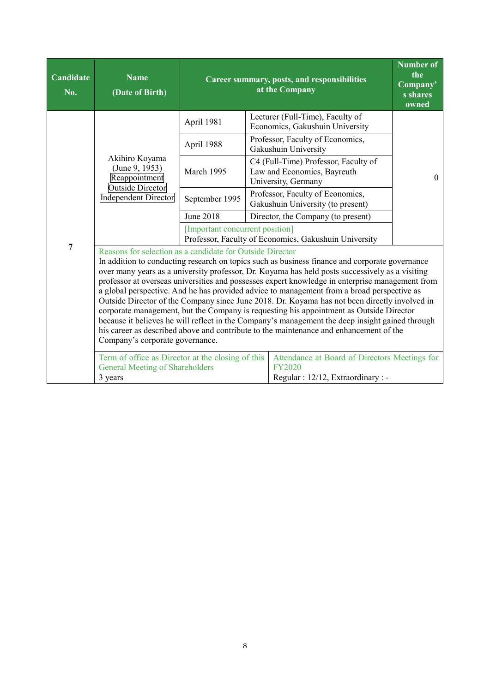| Candidate<br>No. | <b>Name</b><br>(Date of Birth)                                                                                                                                                                                                                                                                                                                                                                                                                                                                                                                                                                                                                                                                                                                                                                                                                                                              |                                                                                          | Number of<br>Career summary, posts, and responsibilities<br>Company'<br>at the Company |                                                                                            |          |  |  |  |
|------------------|---------------------------------------------------------------------------------------------------------------------------------------------------------------------------------------------------------------------------------------------------------------------------------------------------------------------------------------------------------------------------------------------------------------------------------------------------------------------------------------------------------------------------------------------------------------------------------------------------------------------------------------------------------------------------------------------------------------------------------------------------------------------------------------------------------------------------------------------------------------------------------------------|------------------------------------------------------------------------------------------|----------------------------------------------------------------------------------------|--------------------------------------------------------------------------------------------|----------|--|--|--|
|                  |                                                                                                                                                                                                                                                                                                                                                                                                                                                                                                                                                                                                                                                                                                                                                                                                                                                                                             | April 1981                                                                               |                                                                                        | Lecturer (Full-Time), Faculty of<br>Economics, Gakushuin University                        |          |  |  |  |
|                  |                                                                                                                                                                                                                                                                                                                                                                                                                                                                                                                                                                                                                                                                                                                                                                                                                                                                                             | April 1988                                                                               |                                                                                        | Professor, Faculty of Economics,<br>Gakushuin University                                   |          |  |  |  |
|                  | Akihiro Koyama<br>(June 9, 1953)<br>Reappointment                                                                                                                                                                                                                                                                                                                                                                                                                                                                                                                                                                                                                                                                                                                                                                                                                                           | March 1995                                                                               |                                                                                        | C4 (Full-Time) Professor, Faculty of<br>Law and Economics, Bayreuth<br>University, Germany | $\theta$ |  |  |  |
|                  | <b>Outside Director</b><br><b>Independent Director</b>                                                                                                                                                                                                                                                                                                                                                                                                                                                                                                                                                                                                                                                                                                                                                                                                                                      | September 1995                                                                           |                                                                                        | Professor, Faculty of Economics,<br>Gakushuin University (to present)                      |          |  |  |  |
|                  |                                                                                                                                                                                                                                                                                                                                                                                                                                                                                                                                                                                                                                                                                                                                                                                                                                                                                             | <b>June 2018</b>                                                                         |                                                                                        | Director, the Company (to present)                                                         |          |  |  |  |
|                  |                                                                                                                                                                                                                                                                                                                                                                                                                                                                                                                                                                                                                                                                                                                                                                                                                                                                                             | [Important concurrent position]<br>Professor, Faculty of Economics, Gakushuin University |                                                                                        |                                                                                            |          |  |  |  |
| $\overline{7}$   | Reasons for selection as a candidate for Outside Director<br>In addition to conducting research on topics such as business finance and corporate governance<br>over many years as a university professor, Dr. Koyama has held posts successively as a visiting<br>professor at overseas universities and possesses expert knowledge in enterprise management from<br>a global perspective. And he has provided advice to management from a broad perspective as<br>Outside Director of the Company since June 2018. Dr. Koyama has not been directly involved in<br>corporate management, but the Company is requesting his appointment as Outside Director<br>because it believes he will reflect in the Company's management the deep insight gained through<br>his career as described above and contribute to the maintenance and enhancement of the<br>Company's corporate governance. |                                                                                          |                                                                                        |                                                                                            |          |  |  |  |
|                  | Term of office as Director at the closing of this<br>Attendance at Board of Directors Meetings for<br><b>FY2020</b><br><b>General Meeting of Shareholders</b><br>Regular : 12/12, Extraordinary : -<br>3 years                                                                                                                                                                                                                                                                                                                                                                                                                                                                                                                                                                                                                                                                              |                                                                                          |                                                                                        |                                                                                            |          |  |  |  |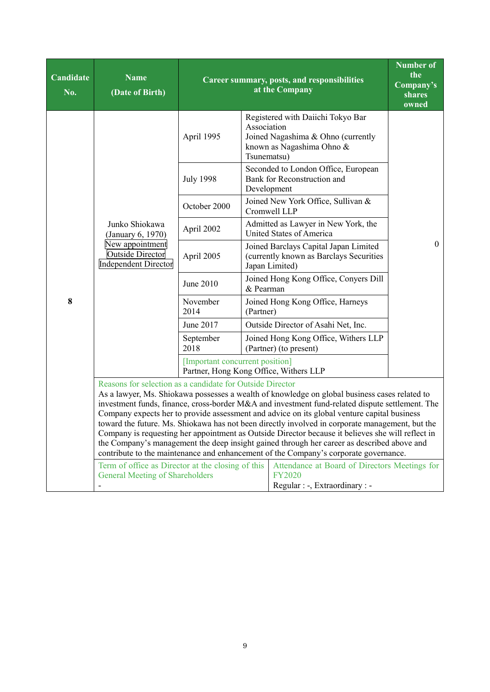| Candidate<br>No. | <b>Name</b><br>(Date of Birth)                                                                                                                                                                                                                                                          | Career summary, posts, and responsibilities | <b>Number of</b><br>the<br>Company's<br>shares<br>owned                                                                                                                                                                                                                                                                                                                                                                                                                                                                                                                                               |                |  |  |  |
|------------------|-----------------------------------------------------------------------------------------------------------------------------------------------------------------------------------------------------------------------------------------------------------------------------------------|---------------------------------------------|-------------------------------------------------------------------------------------------------------------------------------------------------------------------------------------------------------------------------------------------------------------------------------------------------------------------------------------------------------------------------------------------------------------------------------------------------------------------------------------------------------------------------------------------------------------------------------------------------------|----------------|--|--|--|
|                  |                                                                                                                                                                                                                                                                                         | April 1995                                  | Registered with Daiichi Tokyo Bar<br>Association<br>Joined Nagashima & Ohno (currently<br>known as Nagashima Ohno &<br>Tsunematsu)                                                                                                                                                                                                                                                                                                                                                                                                                                                                    |                |  |  |  |
|                  |                                                                                                                                                                                                                                                                                         | <b>July 1998</b>                            | Seconded to London Office, European<br>Bank for Reconstruction and<br>Development                                                                                                                                                                                                                                                                                                                                                                                                                                                                                                                     |                |  |  |  |
|                  |                                                                                                                                                                                                                                                                                         | October 2000                                | Joined New York Office, Sullivan &<br>Cromwell LLP                                                                                                                                                                                                                                                                                                                                                                                                                                                                                                                                                    |                |  |  |  |
|                  | Junko Shiokawa<br>(January 6, 1970)                                                                                                                                                                                                                                                     | April 2002                                  | Admitted as Lawyer in New York, the<br>United States of America                                                                                                                                                                                                                                                                                                                                                                                                                                                                                                                                       | $\overline{0}$ |  |  |  |
|                  | New appointment<br><b>Outside Director</b><br><b>Independent Director</b>                                                                                                                                                                                                               | April 2005                                  | Joined Barclays Capital Japan Limited<br>(currently known as Barclays Securities<br>Japan Limited)                                                                                                                                                                                                                                                                                                                                                                                                                                                                                                    |                |  |  |  |
|                  |                                                                                                                                                                                                                                                                                         | June 2010                                   | Joined Hong Kong Office, Conyers Dill<br>& Pearman                                                                                                                                                                                                                                                                                                                                                                                                                                                                                                                                                    |                |  |  |  |
| 8                |                                                                                                                                                                                                                                                                                         | November<br>2014                            | Joined Hong Kong Office, Harneys<br>(Partner)                                                                                                                                                                                                                                                                                                                                                                                                                                                                                                                                                         |                |  |  |  |
|                  |                                                                                                                                                                                                                                                                                         | June 2017                                   | Outside Director of Asahi Net, Inc.                                                                                                                                                                                                                                                                                                                                                                                                                                                                                                                                                                   |                |  |  |  |
|                  |                                                                                                                                                                                                                                                                                         | September<br>2018                           | Joined Hong Kong Office, Withers LLP<br>(Partner) (to present)                                                                                                                                                                                                                                                                                                                                                                                                                                                                                                                                        |                |  |  |  |
|                  |                                                                                                                                                                                                                                                                                         | [Important concurrent position]             | Partner, Hong Kong Office, Withers LLP                                                                                                                                                                                                                                                                                                                                                                                                                                                                                                                                                                |                |  |  |  |
|                  | Reasons for selection as a candidate for Outside Director                                                                                                                                                                                                                               |                                             | As a lawyer, Ms. Shiokawa possesses a wealth of knowledge on global business cases related to<br>investment funds, finance, cross-border M&A and investment fund-related dispute settlement. The<br>Company expects her to provide assessment and advice on its global venture capital business<br>toward the future. Ms. Shiokawa has not been directly involved in corporate management, but the<br>Company is requesting her appointment as Outside Director because it believes she will reflect in<br>the Company's management the deep insight gained through her career as described above and |                |  |  |  |
|                  | contribute to the maintenance and enhancement of the Company's corporate governance.<br>Term of office as Director at the closing of this<br>Attendance at Board of Directors Meetings for<br><b>General Meeting of Shareholders</b><br><b>FY2020</b><br>Regular : -, Extraordinary : - |                                             |                                                                                                                                                                                                                                                                                                                                                                                                                                                                                                                                                                                                       |                |  |  |  |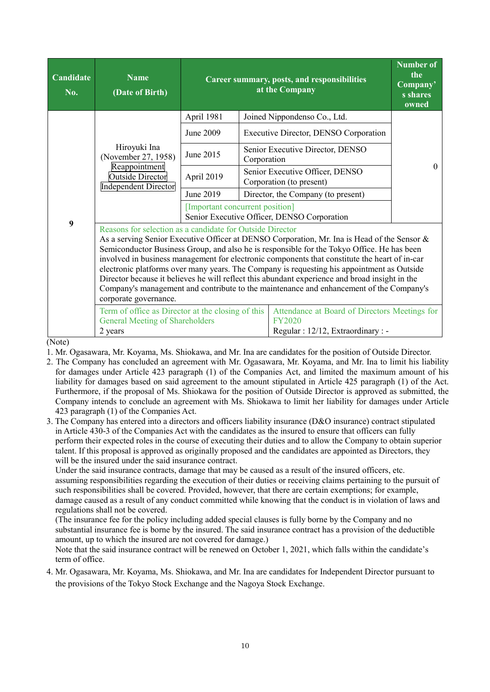| Candidate<br>No.                    | <b>Name</b><br>(Date of Birth)                                                                                                                                                                                 |                                                                                | Career summary, posts, and responsibilities<br>at the Company |                                                                                                                                                                                                                                                                                                                                                                                                                                                                                                                                                                                       |          |  |  |  |
|-------------------------------------|----------------------------------------------------------------------------------------------------------------------------------------------------------------------------------------------------------------|--------------------------------------------------------------------------------|---------------------------------------------------------------|---------------------------------------------------------------------------------------------------------------------------------------------------------------------------------------------------------------------------------------------------------------------------------------------------------------------------------------------------------------------------------------------------------------------------------------------------------------------------------------------------------------------------------------------------------------------------------------|----------|--|--|--|
|                                     |                                                                                                                                                                                                                | April 1981                                                                     |                                                               | Joined Nippondenso Co., Ltd.                                                                                                                                                                                                                                                                                                                                                                                                                                                                                                                                                          |          |  |  |  |
|                                     |                                                                                                                                                                                                                | June 2009                                                                      |                                                               | Executive Director, DENSO Corporation                                                                                                                                                                                                                                                                                                                                                                                                                                                                                                                                                 |          |  |  |  |
|                                     | Hiroyuki Ina<br>(November 27, 1958)                                                                                                                                                                            | June 2015                                                                      | Corporation                                                   | Senior Executive Director, DENSO                                                                                                                                                                                                                                                                                                                                                                                                                                                                                                                                                      | $\Omega$ |  |  |  |
|                                     | Reappointment<br><b>Outside Director</b><br><b>Independent Director</b>                                                                                                                                        | April 2019                                                                     |                                                               | Senior Executive Officer, DENSO<br>Corporation (to present)                                                                                                                                                                                                                                                                                                                                                                                                                                                                                                                           |          |  |  |  |
|                                     |                                                                                                                                                                                                                | June 2019                                                                      |                                                               | Director, the Company (to present)                                                                                                                                                                                                                                                                                                                                                                                                                                                                                                                                                    |          |  |  |  |
|                                     |                                                                                                                                                                                                                | [Important concurrent position]<br>Senior Executive Officer, DENSO Corporation |                                                               |                                                                                                                                                                                                                                                                                                                                                                                                                                                                                                                                                                                       |          |  |  |  |
| 9                                   | Reasons for selection as a candidate for Outside Director<br>corporate governance.                                                                                                                             |                                                                                |                                                               | As a serving Senior Executive Officer at DENSO Corporation, Mr. Ina is Head of the Sensor &<br>Semiconductor Business Group, and also he is responsible for the Tokyo Office. He has been<br>involved in business management for electronic components that constitute the heart of in-car<br>electronic platforms over many years. The Company is requesting his appointment as Outside<br>Director because it believes he will reflect this abundant experience and broad insight in the<br>Company's management and contribute to the maintenance and enhancement of the Company's |          |  |  |  |
| $(\mathbf{N}_{\alpha t}^{\dagger})$ | Term of office as Director at the closing of this<br>Attendance at Board of Directors Meetings for<br><b>General Meeting of Shareholders</b><br><b>FY2020</b><br>Regular : 12/12, Extraordinary : -<br>2 years |                                                                                |                                                               |                                                                                                                                                                                                                                                                                                                                                                                                                                                                                                                                                                                       |          |  |  |  |

(Note)

1. Mr. Ogasawara, Mr. Koyama, Ms. Shiokawa, and Mr. Ina are candidates for the position of Outside Director.

- 2. The Company has concluded an agreement with Mr. Ogasawara, Mr. Koyama, and Mr. Ina to limit his liability for damages under Article 423 paragraph (1) of the Companies Act, and limited the maximum amount of his liability for damages based on said agreement to the amount stipulated in Article 425 paragraph (1) of the Act. Furthermore, if the proposal of Ms. Shiokawa for the position of Outside Director is approved as submitted, the Company intends to conclude an agreement with Ms. Shiokawa to limit her liability for damages under Article 423 paragraph (1) of the Companies Act.
- 3. The Company has entered into a directors and officers liability insurance (D&O insurance) contract stipulated in Article 430-3 of the Companies Act with the candidates as the insured to ensure that officers can fully perform their expected roles in the course of executing their duties and to allow the Company to obtain superior talent. If this proposal is approved as originally proposed and the candidates are appointed as Directors, they will be the insured under the said insurance contract.

 Under the said insurance contracts, damage that may be caused as a result of the insured officers, etc. assuming responsibilities regarding the execution of their duties or receiving claims pertaining to the pursuit of such responsibilities shall be covered. Provided, however, that there are certain exemptions; for example, damage caused as a result of any conduct committed while knowing that the conduct is in violation of laws and regulations shall not be covered.

 (The insurance fee for the policy including added special clauses is fully borne by the Company and no substantial insurance fee is borne by the insured. The said insurance contract has a provision of the deductible amount, up to which the insured are not covered for damage.)

 Note that the said insurance contract will be renewed on October 1, 2021, which falls within the candidate's term of office.

4. Mr. Ogasawara, Mr. Koyama, Ms. Shiokawa, and Mr. Ina are candidates for Independent Director pursuant to the provisions of the Tokyo Stock Exchange and the Nagoya Stock Exchange.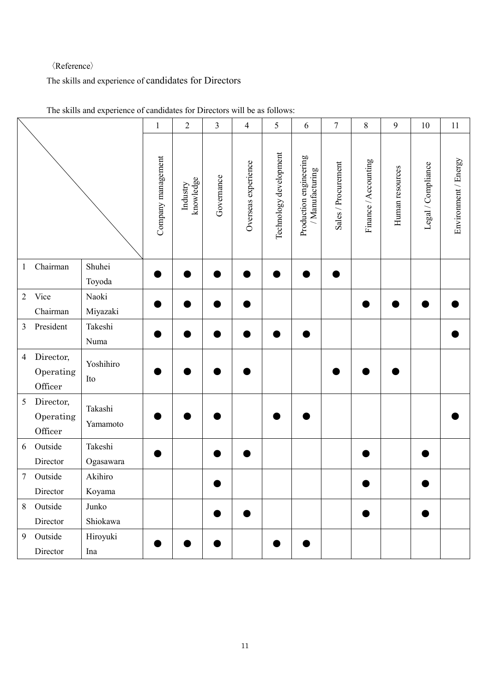### 〈Reference〉

# The skills and experience of candidates for Directors

|                 |                                   |                      | $\mathbf{1}$       | $\sqrt{2}$            | 3          | 4                   | 5                      | 6                                         | $\tau$              | $\,8\,$              | 9               | 10                 | 11                   |
|-----------------|-----------------------------------|----------------------|--------------------|-----------------------|------------|---------------------|------------------------|-------------------------------------------|---------------------|----------------------|-----------------|--------------------|----------------------|
|                 |                                   |                      | Company management | knowledge<br>Industry | Governance | Overseas experience | Technology development | Production engineering<br>/ Manufacturing | Sales / Procurement | Finance / Accounting | Human resources | Legal / Compliance | Environment / Energy |
| $\mathbf{1}$    | Chairman                          | Shuhei<br>Toyoda     |                    |                       |            |                     |                        |                                           |                     |                      |                 |                    |                      |
| $\overline{2}$  | Vice                              | Naoki                |                    |                       |            |                     |                        |                                           |                     |                      |                 |                    |                      |
|                 | Chairman                          | Miyazaki             |                    |                       |            |                     |                        |                                           |                     |                      |                 |                    |                      |
| $\mathfrak{Z}$  | President                         | Takeshi<br>Numa      |                    |                       |            |                     |                        |                                           |                     |                      |                 |                    |                      |
| $\overline{4}$  | Director,<br>Operating<br>Officer | Yoshihiro<br>Ito     |                    |                       |            |                     |                        |                                           |                     |                      |                 |                    |                      |
| $\sqrt{5}$      | Director,<br>Operating<br>Officer | Takashi<br>Yamamoto  |                    |                       |            |                     |                        |                                           |                     |                      |                 |                    |                      |
| 6               | Outside<br>Director               | Takeshi<br>Ogasawara |                    |                       |            |                     |                        |                                           |                     |                      |                 |                    |                      |
| $7\overline{ }$ | Outside                           | Akihiro              |                    |                       |            |                     |                        |                                           |                     |                      |                 |                    |                      |
|                 | Director                          | Koyama               |                    |                       |            |                     |                        |                                           |                     |                      |                 |                    |                      |
| $8\,$           | Outside                           | Junko                |                    |                       |            |                     |                        |                                           |                     |                      |                 |                    |                      |
|                 | Director                          | Shiokawa             |                    |                       |            |                     |                        |                                           |                     |                      |                 |                    |                      |
| 9               | Outside                           | Hiroyuki             |                    |                       |            |                     |                        |                                           |                     |                      |                 |                    |                      |
|                 | Director                          | Ina                  |                    |                       |            |                     |                        |                                           |                     |                      |                 |                    |                      |

The skills and experience of candidates for Directors will be as follows: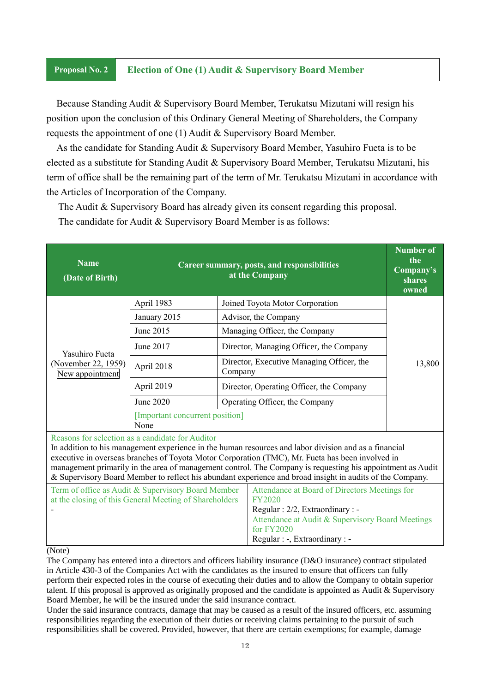### **Proposal No. 2 Election of One (1) Audit & Supervisory Board Member**

Because Standing Audit & Supervisory Board Member, Terukatsu Mizutani will resign his position upon the conclusion of this Ordinary General Meeting of Shareholders, the Company requests the appointment of one (1) Audit & Supervisory Board Member.

As the candidate for Standing Audit & Supervisory Board Member, Yasuhiro Fueta is to be elected as a substitute for Standing Audit & Supervisory Board Member, Terukatsu Mizutani, his term of office shall be the remaining part of the term of Mr. Terukatsu Mizutani in accordance with the Articles of Incorporation of the Company.

The Audit & Supervisory Board has already given its consent regarding this proposal.

The candidate for Audit & Supervisory Board Member is as follows:

| <b>Name</b><br>(Date of Birth)         | Career summary, posts, and responsibilities                                                                  | <b>Number of</b><br>the<br>Company's<br>shares<br>owned |                                                                                                                                                                                                                                                                                                                                                                                                                                      |  |  |
|----------------------------------------|--------------------------------------------------------------------------------------------------------------|---------------------------------------------------------|--------------------------------------------------------------------------------------------------------------------------------------------------------------------------------------------------------------------------------------------------------------------------------------------------------------------------------------------------------------------------------------------------------------------------------------|--|--|
|                                        | April 1983                                                                                                   |                                                         | Joined Toyota Motor Corporation                                                                                                                                                                                                                                                                                                                                                                                                      |  |  |
|                                        | January 2015                                                                                                 |                                                         | Advisor, the Company                                                                                                                                                                                                                                                                                                                                                                                                                 |  |  |
|                                        | June 2015                                                                                                    |                                                         | Managing Officer, the Company                                                                                                                                                                                                                                                                                                                                                                                                        |  |  |
| Yasuhiro Fueta                         | June 2017                                                                                                    |                                                         | Director, Managing Officer, the Company                                                                                                                                                                                                                                                                                                                                                                                              |  |  |
| (November 22, 1959)<br>New appointment | April 2018                                                                                                   |                                                         | Director, Executive Managing Officer, the<br>Company                                                                                                                                                                                                                                                                                                                                                                                 |  |  |
|                                        | April 2019                                                                                                   | Director, Operating Officer, the Company                |                                                                                                                                                                                                                                                                                                                                                                                                                                      |  |  |
|                                        | June 2020                                                                                                    | Operating Officer, the Company                          |                                                                                                                                                                                                                                                                                                                                                                                                                                      |  |  |
|                                        | [Important concurrent position]<br>None                                                                      |                                                         |                                                                                                                                                                                                                                                                                                                                                                                                                                      |  |  |
|                                        | Reasons for selection as a candidate for Auditor                                                             |                                                         | In addition to his management experience in the human resources and labor division and as a financial<br>executive in overseas branches of Toyota Motor Corporation (TMC), Mr. Fueta has been involved in<br>management primarily in the area of management control. The Company is requesting his appointment as Audit<br>& Supervisory Board Member to reflect his abundant experience and broad insight in audits of the Company. |  |  |
|                                        | Term of office as Audit & Supervisory Board Member<br>at the closing of this General Meeting of Shareholders |                                                         | Attendance at Board of Directors Meetings for<br><b>FY2020</b>                                                                                                                                                                                                                                                                                                                                                                       |  |  |
|                                        |                                                                                                              |                                                         | Regular : 2/2, Extraordinary : -<br>Attendance at Audit & Supervisory Board Meetings<br>for FY2020                                                                                                                                                                                                                                                                                                                                   |  |  |
| (Note)                                 |                                                                                                              |                                                         | Regular : -, Extraordinary : -                                                                                                                                                                                                                                                                                                                                                                                                       |  |  |

(Note)

The Company has entered into a directors and officers liability insurance (D&O insurance) contract stipulated in Article 430-3 of the Companies Act with the candidates as the insured to ensure that officers can fully perform their expected roles in the course of executing their duties and to allow the Company to obtain superior talent. If this proposal is approved as originally proposed and the candidate is appointed as Audit & Supervisory Board Member, he will be the insured under the said insurance contract.

Under the said insurance contracts, damage that may be caused as a result of the insured officers, etc. assuming responsibilities regarding the execution of their duties or receiving claims pertaining to the pursuit of such responsibilities shall be covered. Provided, however, that there are certain exemptions; for example, damage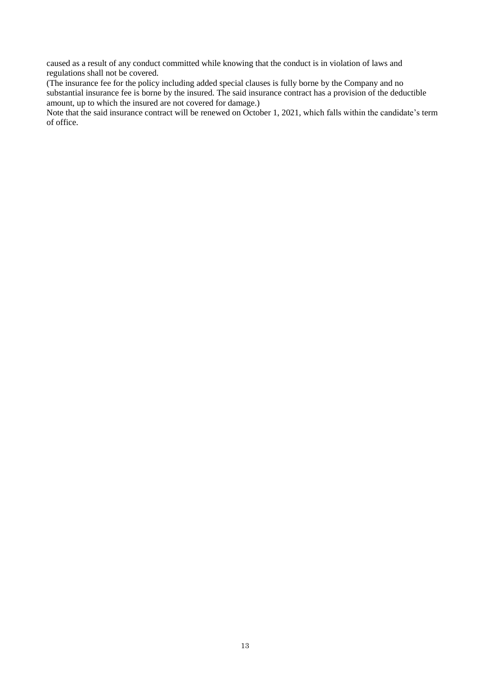caused as a result of any conduct committed while knowing that the conduct is in violation of laws and regulations shall not be covered.

(The insurance fee for the policy including added special clauses is fully borne by the Company and no substantial insurance fee is borne by the insured. The said insurance contract has a provision of the deductible amount, up to which the insured are not covered for damage.)

Note that the said insurance contract will be renewed on October 1, 2021, which falls within the candidate's term of office.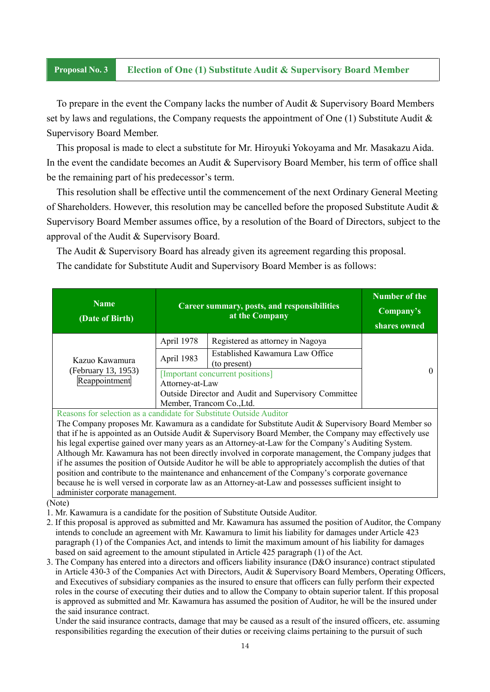### **Proposal No. 3 Election of One (1) Substitute Audit & Supervisory Board Member**

To prepare in the event the Company lacks the number of Audit & Supervisory Board Members set by laws and regulations, the Company requests the appointment of One  $(1)$  Substitute Audit & Supervisory Board Member.

This proposal is made to elect a substitute for Mr. Hiroyuki Yokoyama and Mr. Masakazu Aida. In the event the candidate becomes an Audit & Supervisory Board Member, his term of office shall be the remaining part of his predecessor's term.

This resolution shall be effective until the commencement of the next Ordinary General Meeting of Shareholders. However, this resolution may be cancelled before the proposed Substitute Audit & Supervisory Board Member assumes office, by a resolution of the Board of Directors, subject to the approval of the Audit & Supervisory Board.

The Audit & Supervisory Board has already given its agreement regarding this proposal.

The candidate for Substitute Audit and Supervisory Board Member is as follows:

| <b>Name</b><br>(Date of Birth)                                                                               | Career summary, posts, and responsibilities<br>at the Company |                                                 | <b>Number of the</b><br>Company's<br>shares owned |
|--------------------------------------------------------------------------------------------------------------|---------------------------------------------------------------|-------------------------------------------------|---------------------------------------------------|
| Kazuo Kawamura<br>(February 13, 1953)<br>Reappointment                                                       | April 1978                                                    | Registered as attorney in Nagoya                |                                                   |
|                                                                                                              | April 1983                                                    | Established Kawamura Law Office<br>(to present) |                                                   |
|                                                                                                              | [Important concurrent positions]                              |                                                 | 0                                                 |
|                                                                                                              | Attorney-at-Law                                               |                                                 |                                                   |
|                                                                                                              | Outside Director and Audit and Supervisory Committee          |                                                 |                                                   |
|                                                                                                              | Member, Trancom Co., Ltd.                                     |                                                 |                                                   |
| Reasons for selection as a candidate for Substitute Outside Auditor                                          |                                                               |                                                 |                                                   |
| The Company proposes Mr. Kawamura as a candidate for Substitute Audit & Supervisory Board Member so          |                                                               |                                                 |                                                   |
| that if he is appointed as an Outside Audit & Supervisory Board Member, the Company may effectively use      |                                                               |                                                 |                                                   |
| his legal expertise gained over many years as an Attorney-at-Law for the Company's Auditing System.          |                                                               |                                                 |                                                   |
| Although Mr. Kawamura has not been directly involved in corporate management, the Company judges that        |                                                               |                                                 |                                                   |
| if he assumes the position of Outside Auditor he will be able to appropriately accomplish the duties of that |                                                               |                                                 |                                                   |

(Note)

administer corporate management.

- 1. Mr. Kawamura is a candidate for the position of Substitute Outside Auditor.
- 2. If this proposal is approved as submitted and Mr. Kawamura has assumed the position of Auditor, the Company intends to conclude an agreement with Mr. Kawamura to limit his liability for damages under Article 423 paragraph (1) of the Companies Act, and intends to limit the maximum amount of his liability for damages based on said agreement to the amount stipulated in Article 425 paragraph (1) of the Act.

position and contribute to the maintenance and enhancement of the Company's corporate governance because he is well versed in corporate law as an Attorney-at-Law and possesses sufficient insight to

3. The Company has entered into a directors and officers liability insurance (D&O insurance) contract stipulated in Article 430-3 of the Companies Act with Directors, Audit & Supervisory Board Members, Operating Officers, and Executives of subsidiary companies as the insured to ensure that officers can fully perform their expected roles in the course of executing their duties and to allow the Company to obtain superior talent. If this proposal is approved as submitted and Mr. Kawamura has assumed the position of Auditor, he will be the insured under the said insurance contract.

Under the said insurance contracts, damage that may be caused as a result of the insured officers, etc. assuming responsibilities regarding the execution of their duties or receiving claims pertaining to the pursuit of such